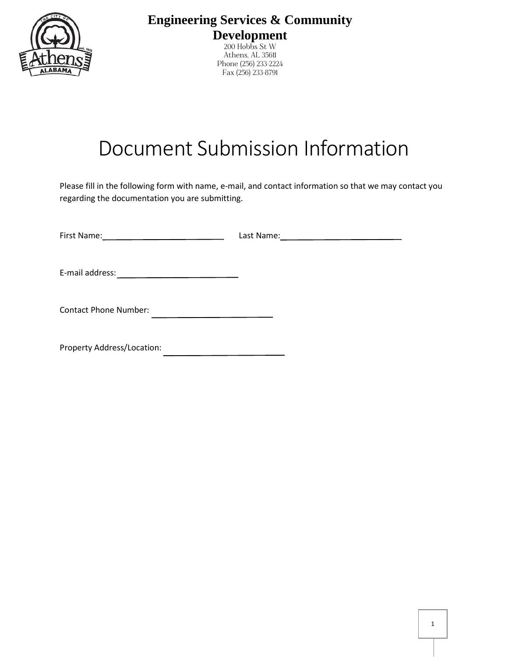

**Engineering Services & Community Development**

200 Hobbs St W Athens, AL 35611 Phone (256) 233-2224 Fax (256) 233-8791

## Document Submission Information

Please fill in the following form with name, e-mail, and contact information so that we may contact you regarding the documentation you are submitting.

| First Name:<br>the control of the control of the control of the control of | Last Name: |
|----------------------------------------------------------------------------|------------|
| E-mail address:                                                            |            |
| <b>Contact Phone Number:</b>                                               |            |
| Property Address/Location:                                                 |            |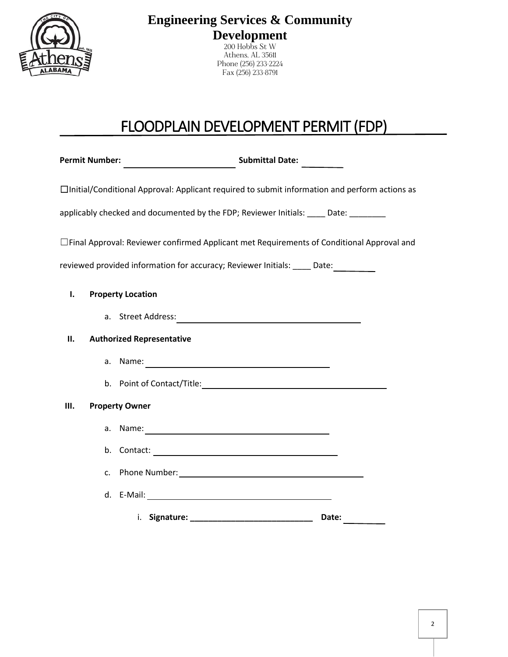

**Engineering Services & Community Development**

200 Hobbs St W Athens, AL 35611 Phone (256) 233-2224 Fax (256) 233-8791

## FLOODPLAIN DEVELOPMENT PERMIT (FDP)

Permit Number: **National Accord Submittal Date:** Submittal Date: ☐Initial/Conditional Approval: Applicant required to submit information and perform actions as applicably checked and documented by the FDP; Reviewer Initials: \_\_\_\_ Date: \_\_\_\_\_\_ ☐Final Approval: Reviewer confirmed Applicant met Requirements of Conditional Approval and reviewed provided information for accuracy; Reviewer Initials: \_\_\_\_ Date: **I. Property Location** a. Street Address: **II. Authorized Representative** a. Name: b. Point of Contact/Title: **III. Property Owner** a. Name: b. Contact: c. Phone Number: d. E-Mail: i. **Signature: \_\_\_\_\_\_\_\_\_\_\_\_\_\_\_\_\_\_\_\_\_\_\_\_\_\_\_ Date:**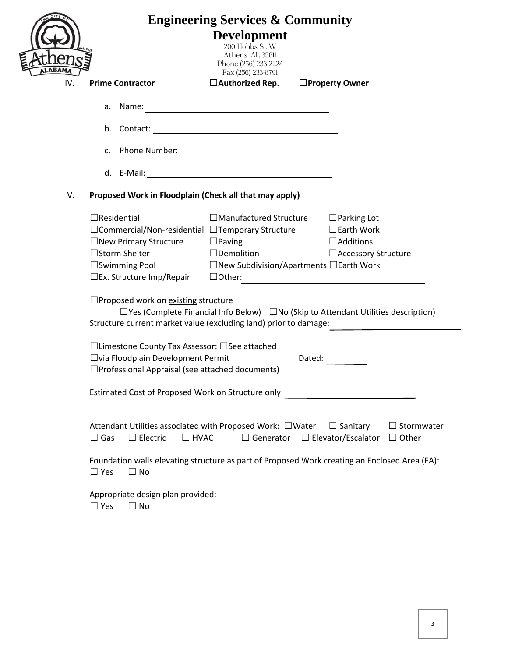|                                                                  | <b>Engineering Services &amp; Community</b>                  |                                                                                                |                                       |
|------------------------------------------------------------------|--------------------------------------------------------------|------------------------------------------------------------------------------------------------|---------------------------------------|
|                                                                  |                                                              | <b>Development</b><br>200 Hobbs St W                                                           |                                       |
|                                                                  |                                                              | Athens, AL 35611<br>Phone (256) 233-2224                                                       |                                       |
| IV.                                                              | <b>Prime Contractor</b>                                      | Fax (256) 233-8791<br>$\Box$ Authorized Rep.                                                   | □Property Owner                       |
|                                                                  |                                                              |                                                                                                |                                       |
|                                                                  |                                                              |                                                                                                |                                       |
|                                                                  |                                                              |                                                                                                |                                       |
|                                                                  |                                                              |                                                                                                |                                       |
|                                                                  |                                                              |                                                                                                |                                       |
|                                                                  |                                                              |                                                                                                |                                       |
| V.                                                               | Proposed Work in Floodplain (Check all that may apply)       |                                                                                                |                                       |
|                                                                  | $\Box$ Residential                                           | $\Box$ Manufactured Structure                                                                  | $\Box$ Parking Lot                    |
|                                                                  | $\Box$ Commercial/Non-residential $\Box$ Temporary Structure |                                                                                                | $\Box$ Earth Work<br>$\Box$ Additions |
|                                                                  | $\Box$ New Primary Structure $\Box$ Paving<br>□Storm Shelter | $\square$ Demolition                                                                           | □ Accessory Structure                 |
|                                                                  |                                                              | $\square$ Swimming Pool $\square$ New Subdivision/Apartments $\square$ Earth Work              |                                       |
|                                                                  | $\square$ Ex. Structure Imp/Repair                           | $\Box$ Other:                                                                                  |                                       |
|                                                                  | $\Box$ Proposed work on existing structure                   |                                                                                                |                                       |
|                                                                  |                                                              | $\Box$ Yes (Complete Financial Info Below) $\Box$ No (Skip to Attendant Utilities description) |                                       |
| Structure current market value (excluding land) prior to damage: |                                                              |                                                                                                |                                       |
|                                                                  | □Limestone County Tax Assessor: □See attached                |                                                                                                |                                       |
|                                                                  | □ via Floodplain Development Permit                          | Dated:                                                                                         |                                       |
| $\Box$ Professional Appraisal (see attached documents)           |                                                              |                                                                                                |                                       |
|                                                                  | Estimated Cost of Proposed Work on Structure only:           |                                                                                                |                                       |
|                                                                  |                                                              |                                                                                                |                                       |
|                                                                  |                                                              | Attendant Utilities associated with Proposed Work: $\Box$ Water $\Box$ Sanitary                | $\Box$ Stormwater                     |
|                                                                  | $\Box$ Gas<br>$\Box$ Electric<br>$\Box$ HVAC                 | $\Box$ Generator $\Box$ Elevator/Escalator                                                     | $\Box$ Other                          |
|                                                                  | $\Box$ Yes<br>$\Box$ No                                      | Foundation walls elevating structure as part of Proposed Work creating an Enclosed Area (EA):  |                                       |
|                                                                  | Appropriate design plan provided:<br>$\Box$ Yes<br>$\Box$ No |                                                                                                |                                       |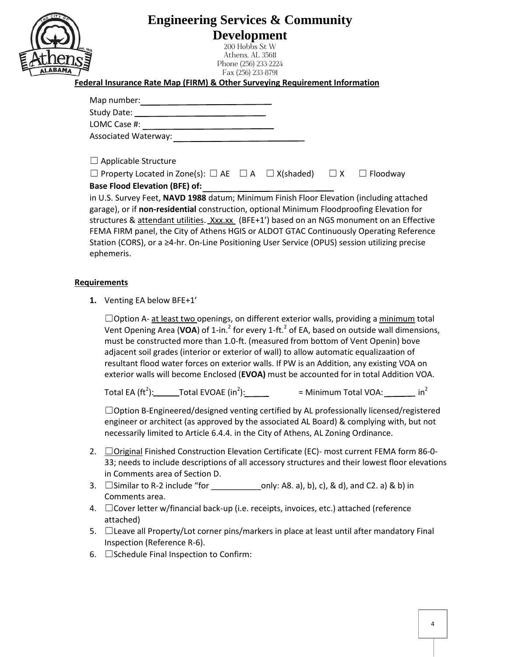| <b>Engineering Services &amp; Community</b>                                                                  |
|--------------------------------------------------------------------------------------------------------------|
| <b>Development</b><br>200 Hobbs St W                                                                         |
| Athens, AL 35611<br>Phone (256) 233-2224                                                                     |
| Fax (256) 233-8791<br><b>Federal Insurance Rate Map (FIRM) &amp; Other Surveying Requirement Information</b> |
|                                                                                                              |
|                                                                                                              |
|                                                                                                              |
|                                                                                                              |
| $\Box$ Applicable Structure                                                                                  |
| $\Box$ Property Located in Zone(s): $\Box$ AE $\Box$ A $\Box$ X(shaded) $\Box$ X $\Box$ Floodway             |
| <b>Base Flood Elevation (BFE) of:</b>                                                                        |
| in U.S. Survey Feet, NAVD 1988 datum; Minimum Finish Floor Elevation (including attached                     |
| garage), or if non-residential construction, optional Minimum Floodproofing Elevation for                    |
| structures & attendant utilities. Xxx.xx (BFE+1') based on an NGS monument on an Effective                   |
| FEMA FIRM panel, the City of Athens HGIS or ALDOT GTAC Continuously Operating Reference                      |
| Station (CORS), or a ≥4-hr. On-Line Positioning User Service (OPUS) session utilizing precise                |

ephemeris.

## **Requirements**

**1.** Venting EA below BFE+1'

□Option A- at least two openings, on different exterior walls, providing a minimum total Vent Opening Area (VOA) of 1-in.<sup>2</sup> for every 1-ft.<sup>2</sup> of EA, based on outside wall dimensions, must be constructed more than 1.0-ft. (measured from bottom of Vent Openin) bove adjacent soil grades (interior or exterior of wall) to allow automatic equalizaation of resultant flood water forces on exterior walls. If PW is an Addition, any existing VOA on exterior walls will become Enclosed (**EVOA)** must be accounted for in total Addition VOA.

Total EA (ft<sup>2</sup>):\_\_\_\_\_\_\_Total EVOAE (in<sup>2</sup>):\_\_\_\_\_\_\_ = Minimum Total VOA:\_\_\_\_\_\_\_\_\_\_ in<sup>2</sup>

 $\Box$ Option B-Engineered/designed venting certified by AL professionally licensed/registered engineer or architect (as approved by the associated AL Board) & complying with, but not necessarily limited to Article 6.4.4. in the City of Athens, AL Zoning Ordinance.

- 2. ☐Original Finished Construction Elevation Certificate (EC)- most current FEMA form 86-0- 33; needs to include descriptions of all accessory structures and their lowest floor elevations in Comments area of Section D.
- 3.  $\square$  Similar to R-2 include "for \_\_\_\_\_\_\_\_\_\_\_\_\_\_\_\_only: A8. a), b), c), & d), and C2. a) & b) in Comments area.
- 4. ☐Cover letter w/financial back-up (i.e. receipts, invoices, etc.) attached (reference attached)
- 5. ☐Leave all Property/Lot corner pins/markers in place at least until after mandatory Final Inspection (Reference R-6).
- $6.$   $\square$  Schedule Final Inspection to Confirm: